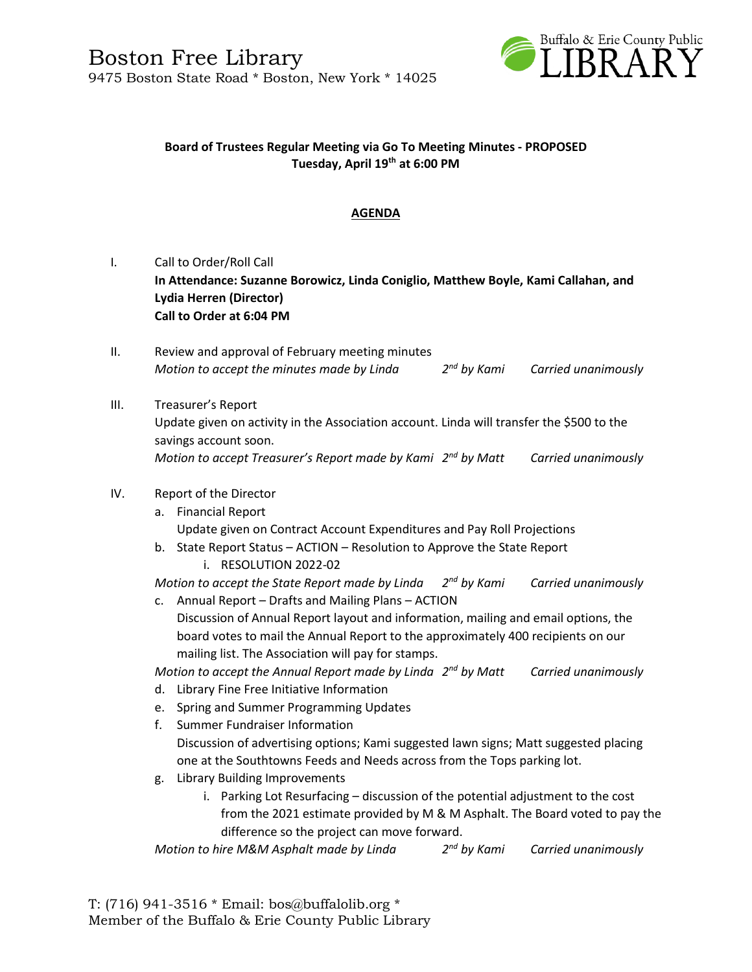

### **Board of Trustees Regular Meeting via Go To Meeting Minutes - PROPOSED Tuesday, April 19th at 6:00 PM**

## **AGENDA**

- I. Call to Order/Roll Call **In Attendance: Suzanne Borowicz, Linda Coniglio, Matthew Boyle, Kami Callahan, and Lydia Herren (Director) Call to Order at 6:04 PM**
- II. Review and approval of February meeting minutes *Motion to accept the minutes made by Linda 2 Carried unanimously*
- III. Treasurer's Report Update given on activity in the Association account. Linda will transfer the \$500 to the savings account soon. *Motion to accept Treasurer's Report made by Kami 2 Carried unanimously*

#### IV. Report of the Director

- a. Financial Report Update given on Contract Account Expenditures and Pay Roll Projections
- b. State Report Status ACTION Resolution to Approve the State Report i. RESOLUTION 2022-02

*Motion to accept the State Report made by Linda 2 Carried unanimously* 

c. Annual Report – Drafts and Mailing Plans – ACTION Discussion of Annual Report layout and information, mailing and email options, the board votes to mail the Annual Report to the approximately 400 recipients on our mailing list. The Association will pay for stamps.

*Motion to accept the Annual Report made by Linda 2 nd by Matt Carried unanimously*

- d. Library Fine Free Initiative Information
- e. Spring and Summer Programming Updates
- f. Summer Fundraiser Information Discussion of advertising options; Kami suggested lawn signs; Matt suggested placing one at the Southtowns Feeds and Needs across from the Tops parking lot.
- g. Library Building Improvements
	- i. Parking Lot Resurfacing discussion of the potential adjustment to the cost from the 2021 estimate provided by M & M Asphalt. The Board voted to pay the difference so the project can move forward.

*Motion to hire M&M Asphalt made by Linda 2 Carried unanimously*